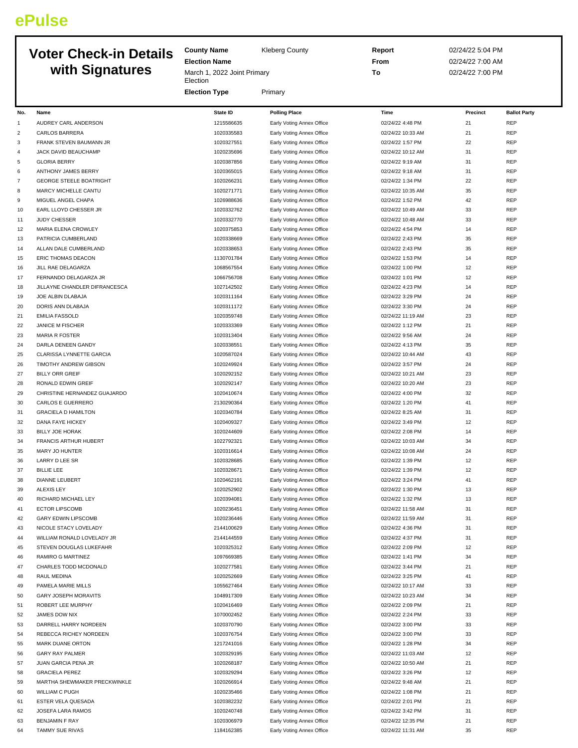## **ePulse**

## **Election Name Voter Check-in Details with**

|                | <b>Voter Check-in Details</b>  | <b>County Name</b>                      | Kleberg County            | Report                               | 02/24/22 5:04 PM |                          |
|----------------|--------------------------------|-----------------------------------------|---------------------------|--------------------------------------|------------------|--------------------------|
|                |                                | <b>Election Name</b>                    |                           | From                                 | 02/24/22 7:00 AM |                          |
|                | with Signatures                | March 1, 2022 Joint Primary<br>Election |                           | To                                   | 02/24/22 7:00 PM |                          |
|                |                                | <b>Election Type</b>                    | Primary                   |                                      |                  |                          |
| No.            | Name                           | <b>State ID</b>                         | <b>Polling Place</b>      | Time                                 | Precinct         | <b>Ballot Party</b>      |
| 1              | AUDREY CARL ANDERSON           | 1215586635                              | Early Voting Annex Office | 02/24/22 4:48 PM                     | 21               | <b>REP</b>               |
| $\overline{c}$ | CARLOS BARRERA                 | 1020335583                              | Early Voting Annex Office | 02/24/22 10:33 AM                    | 21               | <b>REP</b>               |
| 3              | FRANK STEVEN BAUMANN JR        | 1020327551                              | Early Voting Annex Office | 02/24/22 1:57 PM                     | 22               | <b>REP</b>               |
| 4              | JACK DAVID BEAUCHAMP           | 1020235696                              | Early Voting Annex Office | 02/24/22 10:12 AM                    | 31               | <b>REP</b>               |
| 5              | <b>GLORIA BERRY</b>            | 1020387856                              | Early Voting Annex Office | 02/24/22 9:19 AM                     | 31               | <b>REP</b>               |
| 6              |                                | 1020365015                              | Early Voting Annex Office |                                      | 31               | <b>REP</b>               |
|                | ANTHONY JAMES BERRY            |                                         |                           | 02/24/22 9:18 AM                     | 22               | <b>REP</b>               |
| 7              | <b>GEORGE STEELE BOATRIGHT</b> | 1020266231                              | Early Voting Annex Office | 02/24/22 1:34 PM                     |                  |                          |
| 8              | MARCY MICHELLE CANTU           | 1020271771                              | Early Voting Annex Office | 02/24/22 10:35 AM                    | 35               | <b>REP</b><br><b>REP</b> |
| 9              | MIGUEL ANGEL CHAPA             | 1026988636                              | Early Voting Annex Office | 02/24/22 1:52 PM                     | 42<br>33         |                          |
| 10             | EARL LLOYD CHESSER JR          | 1020332762                              | Early Voting Annex Office | 02/24/22 10:49 AM                    |                  | <b>REP</b>               |
| 11             | <b>JUDY CHESSER</b>            | 1020332770                              | Early Voting Annex Office | 02/24/22 10:48 AM                    | 33               | <b>REP</b>               |
| 12             | MARIA ELENA CROWLEY            | 1020375853                              | Early Voting Annex Office | 02/24/22 4:54 PM                     | 14               | <b>REP</b>               |
| 13             | PATRICIA CUMBERLAND            | 1020338669                              | Early Voting Annex Office | 02/24/22 2:43 PM                     | 35               | <b>REP</b>               |
| 14             | ALLAN DALE CUMBERLAND          | 1020338653                              | Early Voting Annex Office | 02/24/22 2:43 PM                     | 35               | <b>REP</b>               |
| 15             | <b>ERIC THOMAS DEACON</b>      | 1130701784                              | Early Voting Annex Office | 02/24/22 1:53 PM                     | 14               | <b>REP</b>               |
| 16             | JILL RAE DELAGARZA             | 1068567554                              | Early Voting Annex Office | 02/24/22 1:00 PM                     | 12               | <b>REP</b>               |
| 17             | FERNANDO DELAGARZA JR          | 1066756708                              | Early Voting Annex Office | 02/24/22 1:01 PM                     | 12               | <b>REP</b>               |
| 18             | JILLAYNE CHANDLER DIFRANCESCA  | 1027142502                              | Early Voting Annex Office | 02/24/22 4:23 PM                     | 14               | <b>REP</b>               |
| 19             | JOE ALBIN DLABAJA              | 1020311164                              | Early Voting Annex Office | 02/24/22 3:29 PM                     | 24               | <b>REP</b>               |
| 20             | DORIS ANN DLABAJA              | 1020311172                              | Early Voting Annex Office | 02/24/22 3:30 PM                     | 24               | <b>REP</b>               |
| 21             | <b>EMILIA FASSOLD</b>          | 1020359748                              | Early Voting Annex Office | 02/24/22 11:19 AM                    | 23               | <b>REP</b>               |
| 22             | <b>JANICE M FISCHER</b>        | 1020333369                              | Early Voting Annex Office | 02/24/22 1:12 PM                     | 21               | <b>REP</b>               |
| 23             | <b>MARIA R FOSTER</b>          | 1020313404                              | Early Voting Annex Office | 02/24/22 9:56 AM                     | 24               | <b>REP</b>               |
| 24             | DARLA DENEEN GANDY             | 1020338551                              | Early Voting Annex Office | 02/24/22 4:13 PM                     | 35               | <b>REP</b>               |
| 25             | CLARISSA LYNNETTE GARCIA       | 1020587024                              | Early Voting Annex Office | 02/24/22 10:44 AM                    | 43               | <b>REP</b>               |
| 26             | TIMOTHY ANDREW GIBSON          | 1020249924                              | Early Voting Annex Office | 02/24/22 3:57 PM                     | 24               | <b>REP</b>               |
| 27             | <b>BILLY ORR GREIF</b>         | 1020292152                              | Early Voting Annex Office | 02/24/22 10:21 AM                    | 23               | <b>REP</b>               |
| 28             | RONALD EDWIN GREIF             | 1020292147                              | Early Voting Annex Office | 02/24/22 10:20 AM                    | 23               | <b>REP</b>               |
| 29             | CHRISTINE HERNANDEZ GUAJARDO   | 1020410674                              | Early Voting Annex Office | 02/24/22 4:00 PM                     | 32               | <b>REP</b>               |
| 30             | CARLOS E GUERRERO              | 2130290364                              | Early Voting Annex Office | 02/24/22 1:20 PM                     | 41               | <b>REP</b>               |
| 31             | <b>GRACIELA D HAMILTON</b>     | 1020340784                              | Early Voting Annex Office | 02/24/22 8:25 AM                     | 31               | <b>REP</b>               |
| 32             | DANA FAYE HICKEY               | 1020409327                              | Early Voting Annex Office | 02/24/22 3:49 PM                     | 12               | <b>REP</b>               |
| 33             | <b>BILLY JOE HORAK</b>         | 1020244609                              | Early Voting Annex Office | 02/24/22 2:08 PM                     | 14               | <b>REP</b>               |
| 34             | <b>FRANCIS ARTHUR HUBERT</b>   | 1022792321                              | Early Voting Annex Office | 02/24/22 10:03 AM                    | 34               | <b>REP</b>               |
| 35             | MARY JO HUNTER                 | 1020316614                              | Early Voting Annex Office | 02/24/22 10:08 AM                    | 24               | <b>REP</b>               |
| 36             | LARRY D LEE SR                 | 1020328685                              | Early Voting Annex Office | 02/24/22 1:39 PM                     | 12               | <b>REP</b>               |
| 37             | <b>BILLIE LEE</b>              | 1020328671                              | Early Voting Annex Office | 02/24/22 1:39 PM                     | 12               | REP                      |
|                | <b>DIANNE LEUBERT</b>          |                                         |                           |                                      | 41               |                          |
| 38             |                                | 1020462191<br>1020252902                | Early Voting Annex Office | 02/24/22 3:24 PM<br>02/24/22 1:30 PM |                  | <b>REP</b>               |
| 39             | <b>ALEXIS LEY</b>              |                                         | Early Voting Annex Office |                                      | 13               | <b>REP</b>               |
| 40             | RICHARD MICHAEL LEY            | 1020394081                              | Early Voting Annex Office | 02/24/22 1:32 PM                     | 13               | REP                      |
| 41             | <b>ECTOR LIPSCOMB</b>          | 1020236451                              | Early Voting Annex Office | 02/24/22 11:58 AM                    | 31               | <b>REP</b>               |
| 42             | <b>GARY EDWIN LIPSCOMB</b>     | 1020236446                              | Early Voting Annex Office | 02/24/22 11:59 AM                    | 31               | <b>REP</b>               |
| 43             | NICOLE STACY LOVELADY          | 2144100629                              | Early Voting Annex Office | 02/24/22 4:36 PM                     | 31               | REP                      |
| 44             | WILLIAM RONALD LOVELADY JR     | 2144144559                              | Early Voting Annex Office | 02/24/22 4:37 PM                     | 31               | <b>REP</b>               |
| 45             | STEVEN DOUGLAS LUKEFAHR        | 1020325312                              | Early Voting Annex Office | 02/24/22 2:09 PM                     | 12               | <b>REP</b>               |
| 46             | RAMIRO G MARTINEZ              | 1097669385                              | Early Voting Annex Office | 02/24/22 1:41 PM                     | 34               | <b>REP</b>               |
| 47             | CHARLES TODD MCDONALD          | 1020277581                              | Early Voting Annex Office | 02/24/22 3:44 PM                     | 21               | <b>REP</b>               |
| 48             | RAUL MEDINA                    | 1020252669                              | Early Voting Annex Office | 02/24/22 3:25 PM                     | 41               | <b>REP</b>               |
| 49             | PAMELA MARIE MILLS             | 1055627464                              | Early Voting Annex Office | 02/24/22 10:17 AM                    | 33               | <b>REP</b>               |
| 50             | <b>GARY JOSEPH MORAVITS</b>    | 1048917309                              | Early Voting Annex Office | 02/24/22 10:23 AM                    | 34               | REP                      |
| 51             | ROBERT LEE MURPHY              | 1020416469                              | Early Voting Annex Office | 02/24/22 2:09 PM                     | 21               | <b>REP</b>               |
| 52             | JAMES DOW NIX                  | 1070002452                              | Early Voting Annex Office | 02/24/22 2:24 PM                     | 33               | REP                      |
| 53             | DARRELL HARRY NORDEEN          | 1020370790                              | Early Voting Annex Office | 02/24/22 3:00 PM                     | 33               | <b>REP</b>               |
| 54             | REBECCA RICHEY NORDEEN         | 1020376754                              | Early Voting Annex Office | 02/24/22 3:00 PM                     | 33               | <b>REP</b>               |
| 55             | MARK DUANE ORTON               | 1217241016                              | Early Voting Annex Office | 02/24/22 1:28 PM                     | 34               | REP                      |
| 56             | <b>GARY RAY PALMER</b>         | 1020329195                              | Early Voting Annex Office | 02/24/22 11:03 AM                    | 12               | <b>REP</b>               |
| 57             | JUAN GARCIA PENA JR            | 1020268187                              | Early Voting Annex Office | 02/24/22 10:50 AM                    | 21               | REP                      |
| 58             | <b>GRACIELA PEREZ</b>          | 1020329294                              | Early Voting Annex Office | 02/24/22 3:26 PM                     | 12               | <b>REP</b>               |
| 59             | MARTHA SHEWMAKER PRECKWINKLE   | 1020266914                              | Early Voting Annex Office | 02/24/22 9:48 AM                     | 21               | <b>REP</b>               |
| 60             | <b>WILLIAM C PUGH</b>          | 1020235466                              | Early Voting Annex Office | 02/24/22 1:08 PM                     | 21               | REP                      |
| 61             | ESTER VELA QUESADA             | 1020382232                              | Early Voting Annex Office | 02/24/22 2:01 PM                     | 21               | <b>REP</b>               |
| 62             | JOSEFA LARA RAMOS              | 1020240748                              | Early Voting Annex Office | 02/24/22 3:42 PM                     | 31               | <b>REP</b>               |
| 63             | <b>BENJAMIN F RAY</b>          | 1020306979                              | Early Voting Annex Office | 02/24/22 12:35 PM                    | 21               | <b>REP</b>               |
|                |                                |                                         |                           |                                      |                  |                          |

**Report** 02/24/22 5:04 PM

64 TAMMY SUE RIVAS 25 REP 2014 1184162385 Early Voting Annex Office 20224/22 11:31 AM 35 REP